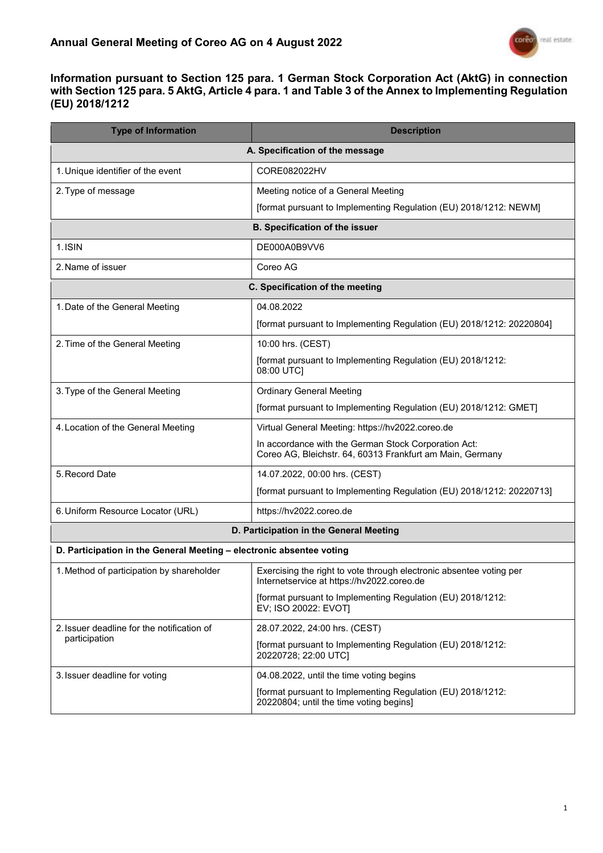

## **Information pursuant to Section 125 para. 1 German Stock Corporation Act (AktG) in connection with Section 125 para. 5 AktG, Article 4 para. 1 and Table 3 of the Annex to Implementing Regulation (EU) 2018/1212**

| <b>Type of Information</b>                                           | <b>Description</b>                                                                                                |  |
|----------------------------------------------------------------------|-------------------------------------------------------------------------------------------------------------------|--|
| A. Specification of the message                                      |                                                                                                                   |  |
| 1. Unique identifier of the event                                    | CORE082022HV                                                                                                      |  |
| 2. Type of message                                                   | Meeting notice of a General Meeting                                                                               |  |
|                                                                      | [format pursuant to Implementing Regulation (EU) 2018/1212: NEWM]                                                 |  |
| <b>B. Specification of the issuer</b>                                |                                                                                                                   |  |
| 1. ISIN                                                              | DE000A0B9VV6                                                                                                      |  |
| 2. Name of issuer                                                    | Coreo AG                                                                                                          |  |
| C. Specification of the meeting                                      |                                                                                                                   |  |
| 1. Date of the General Meeting                                       | 04.08.2022                                                                                                        |  |
|                                                                      | [format pursuant to Implementing Regulation (EU) 2018/1212: 20220804]                                             |  |
| 2. Time of the General Meeting                                       | 10:00 hrs. (CEST)                                                                                                 |  |
|                                                                      | [format pursuant to Implementing Regulation (EU) 2018/1212:<br>08:00 UTC]                                         |  |
| 3. Type of the General Meeting                                       | <b>Ordinary General Meeting</b>                                                                                   |  |
|                                                                      | [format pursuant to Implementing Regulation (EU) 2018/1212: GMET]                                                 |  |
| 4. Location of the General Meeting                                   | Virtual General Meeting: https://hv2022.coreo.de                                                                  |  |
|                                                                      | In accordance with the German Stock Corporation Act:<br>Coreo AG, Bleichstr. 64, 60313 Frankfurt am Main, Germany |  |
| 5. Record Date                                                       | 14.07.2022, 00:00 hrs. (CEST)                                                                                     |  |
|                                                                      | [format pursuant to Implementing Regulation (EU) 2018/1212: 20220713]                                             |  |
| 6. Uniform Resource Locator (URL)                                    | https://hv2022.coreo.de                                                                                           |  |
|                                                                      | D. Participation in the General Meeting                                                                           |  |
| D. Participation in the General Meeting - electronic absentee voting |                                                                                                                   |  |
| 1. Method of participation by shareholder                            | Exercising the right to vote through electronic absentee voting per<br>Internetservice at https://hv2022.coreo.de |  |
|                                                                      | [format pursuant to Implementing Regulation (EU) 2018/1212:<br>EV; ISO 20022: EVOT]                               |  |
| 2. Issuer deadline for the notification of                           | 28.07.2022, 24:00 hrs. (CEST)                                                                                     |  |
| participation                                                        | [format pursuant to Implementing Regulation (EU) 2018/1212:<br>20220728; 22:00 UTC]                               |  |
| 3. Issuer deadline for voting                                        | 04.08.2022, until the time voting begins                                                                          |  |
|                                                                      | [format pursuant to Implementing Regulation (EU) 2018/1212:<br>20220804; until the time voting begins]            |  |
|                                                                      |                                                                                                                   |  |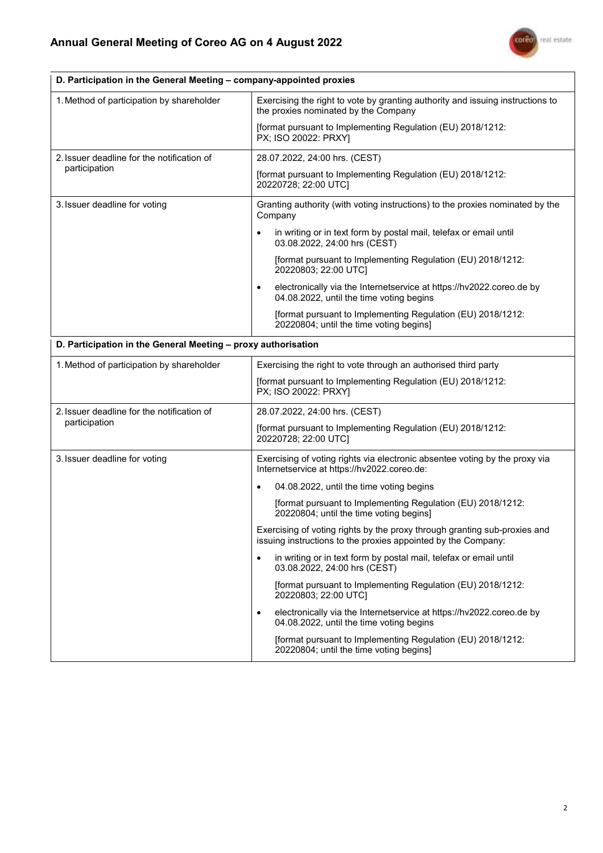٦

 $\overline{r}$ 



٦

| D. Participation in the General Meeting - company-appointed proxies |                                                                                                                                            |  |
|---------------------------------------------------------------------|--------------------------------------------------------------------------------------------------------------------------------------------|--|
| 1. Method of participation by shareholder                           | Exercising the right to vote by granting authority and issuing instructions to<br>the proxies nominated by the Company                     |  |
|                                                                     | [format pursuant to Implementing Regulation (EU) 2018/1212:<br>PX; ISO 20022: PRXY]                                                        |  |
| 2. Issuer deadline for the notification of<br>participation         | 28.07.2022, 24:00 hrs. (CEST)                                                                                                              |  |
|                                                                     | [format pursuant to Implementing Regulation (EU) 2018/1212:<br>20220728; 22:00 UTC]                                                        |  |
| 3. Issuer deadline for voting                                       | Granting authority (with voting instructions) to the proxies nominated by the<br>Company                                                   |  |
|                                                                     | in writing or in text form by postal mail, telefax or email until<br>03.08.2022, 24:00 hrs (CEST)                                          |  |
|                                                                     | [format pursuant to Implementing Regulation (EU) 2018/1212:<br>20220803; 22:00 UTC]                                                        |  |
|                                                                     | electronically via the Internetservice at https://hv2022.coreo.de by<br>$\bullet$<br>04.08.2022, until the time voting begins              |  |
|                                                                     | [format pursuant to Implementing Regulation (EU) 2018/1212:<br>20220804; until the time voting begins]                                     |  |
| D. Participation in the General Meeting - proxy authorisation       |                                                                                                                                            |  |
| 1. Method of participation by shareholder                           | Exercising the right to vote through an authorised third party                                                                             |  |
|                                                                     | [format pursuant to Implementing Regulation (EU) 2018/1212:<br>PX; ISO 20022: PRXY]                                                        |  |
| 2. Issuer deadline for the notification of                          | 28.07.2022, 24:00 hrs. (CEST)                                                                                                              |  |
| participation                                                       | [format pursuant to Implementing Regulation (EU) 2018/1212:<br>20220728; 22:00 UTC]                                                        |  |
| 3. Issuer deadline for voting                                       | Exercising of voting rights via electronic absentee voting by the proxy via<br>Internetservice at https://hv2022.coreo.de:                 |  |
|                                                                     | 04.08.2022, until the time voting begins<br>$\bullet$                                                                                      |  |
|                                                                     | [format pursuant to Implementing Regulation (EU) 2018/1212:<br>20220804; until the time voting begins]                                     |  |
|                                                                     | Exercising of voting rights by the proxy through granting sub-proxies and<br>issuing instructions to the proxies appointed by the Company: |  |
|                                                                     | in writing or in text form by postal mail, telefax or email until<br>$\bullet$<br>03.08.2022, 24:00 hrs (CEST)                             |  |
|                                                                     | [format pursuant to Implementing Regulation (EU) 2018/1212:<br>20220803; 22:00 UTC]                                                        |  |
|                                                                     | electronically via the Internetservice at https://hv2022.coreo.de by<br>$\bullet$<br>04.08.2022, until the time voting begins              |  |
|                                                                     | [format pursuant to Implementing Regulation (EU) 2018/1212:<br>20220804; until the time voting begins]                                     |  |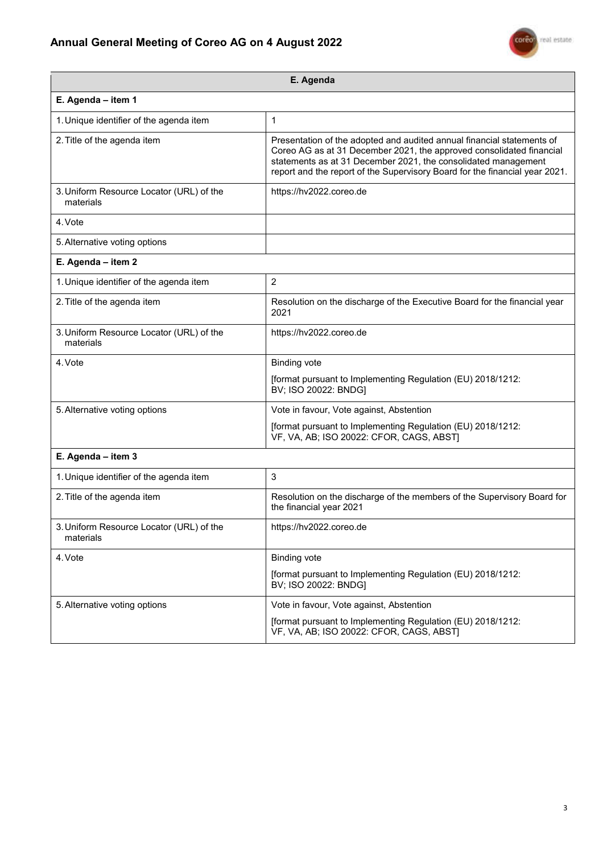## **Annual General Meeting of Coreo AG on 4 August 2022**



| E. Agenda                                             |                                                                                                                                                                                                                                                                                                 |  |
|-------------------------------------------------------|-------------------------------------------------------------------------------------------------------------------------------------------------------------------------------------------------------------------------------------------------------------------------------------------------|--|
| E. Agenda - item 1                                    |                                                                                                                                                                                                                                                                                                 |  |
| 1. Unique identifier of the agenda item               | 1                                                                                                                                                                                                                                                                                               |  |
| 2. Title of the agenda item                           | Presentation of the adopted and audited annual financial statements of<br>Coreo AG as at 31 December 2021, the approved consolidated financial<br>statements as at 31 December 2021, the consolidated management<br>report and the report of the Supervisory Board for the financial year 2021. |  |
| 3. Uniform Resource Locator (URL) of the<br>materials | https://hv2022.coreo.de                                                                                                                                                                                                                                                                         |  |
| 4. Vote                                               |                                                                                                                                                                                                                                                                                                 |  |
| 5. Alternative voting options                         |                                                                                                                                                                                                                                                                                                 |  |
| E. Agenda - item 2                                    |                                                                                                                                                                                                                                                                                                 |  |
| 1. Unique identifier of the agenda item               | $\overline{2}$                                                                                                                                                                                                                                                                                  |  |
| 2. Title of the agenda item                           | Resolution on the discharge of the Executive Board for the financial year<br>2021                                                                                                                                                                                                               |  |
| 3. Uniform Resource Locator (URL) of the<br>materials | https://hv2022.coreo.de                                                                                                                                                                                                                                                                         |  |
| 4. Vote                                               | <b>Binding vote</b>                                                                                                                                                                                                                                                                             |  |
|                                                       | [format pursuant to Implementing Regulation (EU) 2018/1212:<br>BV; ISO 20022: BNDG]                                                                                                                                                                                                             |  |
| 5. Alternative voting options                         | Vote in favour, Vote against, Abstention                                                                                                                                                                                                                                                        |  |
|                                                       | [format pursuant to Implementing Regulation (EU) 2018/1212:<br>VF, VA, AB; ISO 20022: CFOR, CAGS, ABST]                                                                                                                                                                                         |  |
| E. Agenda - item 3                                    |                                                                                                                                                                                                                                                                                                 |  |
| 1. Unique identifier of the agenda item               | 3                                                                                                                                                                                                                                                                                               |  |
| 2. Title of the agenda item                           | Resolution on the discharge of the members of the Supervisory Board for<br>the financial year 2021                                                                                                                                                                                              |  |
| 3. Uniform Resource Locator (URL) of the<br>materials | https://hv2022.coreo.de                                                                                                                                                                                                                                                                         |  |
| 4. Vote                                               | <b>Binding vote</b>                                                                                                                                                                                                                                                                             |  |
|                                                       | [format pursuant to Implementing Regulation (EU) 2018/1212:<br>BV; ISO 20022: BNDG]                                                                                                                                                                                                             |  |
| 5. Alternative voting options                         | Vote in favour, Vote against, Abstention                                                                                                                                                                                                                                                        |  |
|                                                       | [format pursuant to Implementing Regulation (EU) 2018/1212:<br>VF, VA, AB; ISO 20022: CFOR, CAGS, ABST]                                                                                                                                                                                         |  |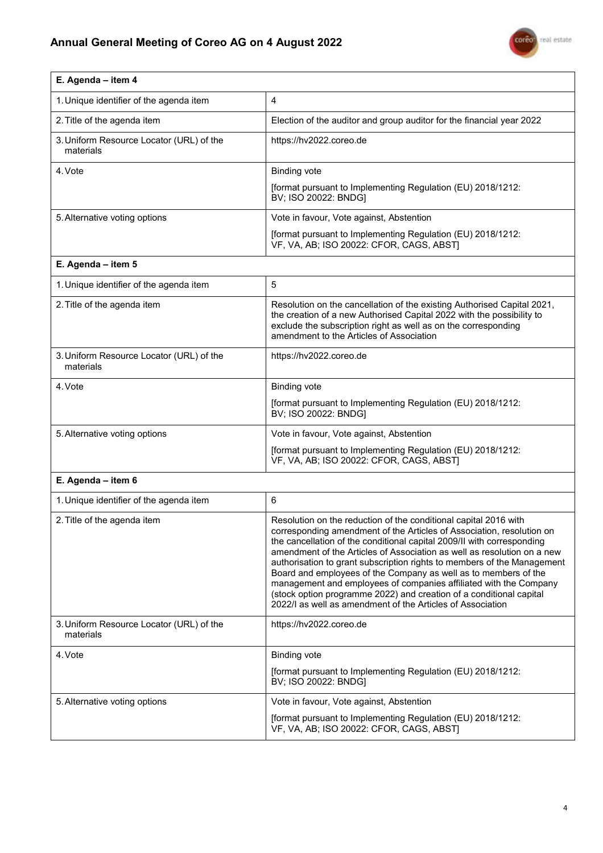I



| E. Agenda - item 4                                    |                                                                                                                                                                                                                                                                                                                                                                                                                                                                                                                                                                                                                                                        |
|-------------------------------------------------------|--------------------------------------------------------------------------------------------------------------------------------------------------------------------------------------------------------------------------------------------------------------------------------------------------------------------------------------------------------------------------------------------------------------------------------------------------------------------------------------------------------------------------------------------------------------------------------------------------------------------------------------------------------|
| 1. Unique identifier of the agenda item               | 4                                                                                                                                                                                                                                                                                                                                                                                                                                                                                                                                                                                                                                                      |
| 2. Title of the agenda item                           | Election of the auditor and group auditor for the financial year 2022                                                                                                                                                                                                                                                                                                                                                                                                                                                                                                                                                                                  |
| 3. Uniform Resource Locator (URL) of the<br>materials | https://hv2022.coreo.de                                                                                                                                                                                                                                                                                                                                                                                                                                                                                                                                                                                                                                |
| 4. Vote                                               | <b>Binding vote</b>                                                                                                                                                                                                                                                                                                                                                                                                                                                                                                                                                                                                                                    |
|                                                       | [format pursuant to Implementing Regulation (EU) 2018/1212:<br>BV; ISO 20022: BNDG]                                                                                                                                                                                                                                                                                                                                                                                                                                                                                                                                                                    |
| 5. Alternative voting options                         | Vote in favour, Vote against, Abstention                                                                                                                                                                                                                                                                                                                                                                                                                                                                                                                                                                                                               |
|                                                       | [format pursuant to Implementing Regulation (EU) 2018/1212:<br>VF, VA, AB; ISO 20022: CFOR, CAGS, ABST]                                                                                                                                                                                                                                                                                                                                                                                                                                                                                                                                                |
| E. Agenda - item 5                                    |                                                                                                                                                                                                                                                                                                                                                                                                                                                                                                                                                                                                                                                        |
| 1. Unique identifier of the agenda item               | 5                                                                                                                                                                                                                                                                                                                                                                                                                                                                                                                                                                                                                                                      |
| 2. Title of the agenda item                           | Resolution on the cancellation of the existing Authorised Capital 2021,<br>the creation of a new Authorised Capital 2022 with the possibility to<br>exclude the subscription right as well as on the corresponding<br>amendment to the Articles of Association                                                                                                                                                                                                                                                                                                                                                                                         |
| 3. Uniform Resource Locator (URL) of the<br>materials | https://hv2022.coreo.de                                                                                                                                                                                                                                                                                                                                                                                                                                                                                                                                                                                                                                |
| 4. Vote                                               | <b>Binding vote</b>                                                                                                                                                                                                                                                                                                                                                                                                                                                                                                                                                                                                                                    |
|                                                       | [format pursuant to Implementing Regulation (EU) 2018/1212:<br>BV; ISO 20022: BNDG]                                                                                                                                                                                                                                                                                                                                                                                                                                                                                                                                                                    |
| 5. Alternative voting options                         | Vote in favour, Vote against, Abstention                                                                                                                                                                                                                                                                                                                                                                                                                                                                                                                                                                                                               |
|                                                       | [format pursuant to Implementing Regulation (EU) 2018/1212:<br>VF, VA, AB; ISO 20022: CFOR, CAGS, ABST]                                                                                                                                                                                                                                                                                                                                                                                                                                                                                                                                                |
| E. Agenda - item 6                                    |                                                                                                                                                                                                                                                                                                                                                                                                                                                                                                                                                                                                                                                        |
| 1. Unique identifier of the agenda item               | 6                                                                                                                                                                                                                                                                                                                                                                                                                                                                                                                                                                                                                                                      |
| 2. Title of the agenda item                           | Resolution on the reduction of the conditional capital 2016 with<br>corresponding amendment of the Articles of Association, resolution on<br>the cancellation of the conditional capital 2009/II with corresponding<br>amendment of the Articles of Association as well as resolution on a new<br>authorisation to grant subscription rights to members of the Management<br>Board and employees of the Company as well as to members of the<br>management and employees of companies affiliated with the Company<br>(stock option programme 2022) and creation of a conditional capital<br>2022/I as well as amendment of the Articles of Association |
| 3. Uniform Resource Locator (URL) of the<br>materials | https://hv2022.coreo.de                                                                                                                                                                                                                                                                                                                                                                                                                                                                                                                                                                                                                                |
| 4. Vote                                               | <b>Binding vote</b>                                                                                                                                                                                                                                                                                                                                                                                                                                                                                                                                                                                                                                    |
|                                                       | [format pursuant to Implementing Regulation (EU) 2018/1212:<br>BV; ISO 20022: BNDG]                                                                                                                                                                                                                                                                                                                                                                                                                                                                                                                                                                    |
| 5. Alternative voting options                         | Vote in favour, Vote against, Abstention                                                                                                                                                                                                                                                                                                                                                                                                                                                                                                                                                                                                               |
|                                                       | [format pursuant to Implementing Regulation (EU) 2018/1212:<br>VF, VA, AB; ISO 20022: CFOR, CAGS, ABST]                                                                                                                                                                                                                                                                                                                                                                                                                                                                                                                                                |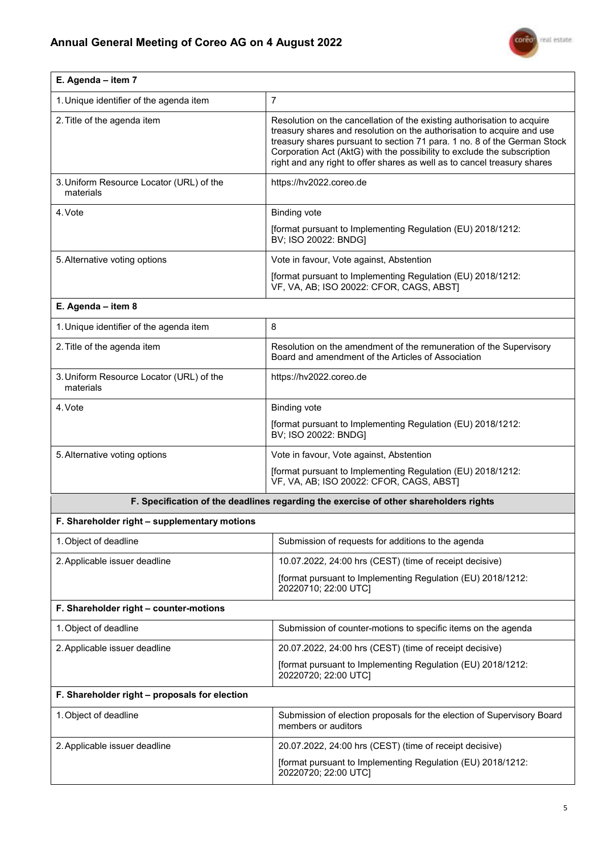

| E. Agenda - item 7                                                                    |                                                                                                                                                                                                                                                                                                                                                                                      |  |
|---------------------------------------------------------------------------------------|--------------------------------------------------------------------------------------------------------------------------------------------------------------------------------------------------------------------------------------------------------------------------------------------------------------------------------------------------------------------------------------|--|
| 1. Unique identifier of the agenda item                                               | $\overline{7}$                                                                                                                                                                                                                                                                                                                                                                       |  |
| 2. Title of the agenda item                                                           | Resolution on the cancellation of the existing authorisation to acquire<br>treasury shares and resolution on the authorisation to acquire and use<br>treasury shares pursuant to section 71 para. 1 no. 8 of the German Stock<br>Corporation Act (AktG) with the possibility to exclude the subscription<br>right and any right to offer shares as well as to cancel treasury shares |  |
| 3. Uniform Resource Locator (URL) of the<br>materials                                 | https://hv2022.coreo.de                                                                                                                                                                                                                                                                                                                                                              |  |
| 4. Vote                                                                               | <b>Binding vote</b>                                                                                                                                                                                                                                                                                                                                                                  |  |
|                                                                                       | [format pursuant to Implementing Regulation (EU) 2018/1212:<br>BV; ISO 20022: BNDG]                                                                                                                                                                                                                                                                                                  |  |
| 5. Alternative voting options                                                         | Vote in favour, Vote against, Abstention                                                                                                                                                                                                                                                                                                                                             |  |
|                                                                                       | [format pursuant to Implementing Regulation (EU) 2018/1212:<br>VF, VA, AB; ISO 20022: CFOR, CAGS, ABST]                                                                                                                                                                                                                                                                              |  |
| E. Agenda - item 8                                                                    |                                                                                                                                                                                                                                                                                                                                                                                      |  |
| 1. Unique identifier of the agenda item                                               | 8                                                                                                                                                                                                                                                                                                                                                                                    |  |
| 2. Title of the agenda item                                                           | Resolution on the amendment of the remuneration of the Supervisory<br>Board and amendment of the Articles of Association                                                                                                                                                                                                                                                             |  |
| 3. Uniform Resource Locator (URL) of the<br>materials                                 | https://hv2022.coreo.de                                                                                                                                                                                                                                                                                                                                                              |  |
| 4. Vote                                                                               | <b>Binding vote</b>                                                                                                                                                                                                                                                                                                                                                                  |  |
|                                                                                       | [format pursuant to Implementing Regulation (EU) 2018/1212:<br>BV; ISO 20022: BNDG]                                                                                                                                                                                                                                                                                                  |  |
| 5. Alternative voting options                                                         | Vote in favour, Vote against, Abstention                                                                                                                                                                                                                                                                                                                                             |  |
|                                                                                       | [format pursuant to Implementing Regulation (EU) 2018/1212:<br>VF, VA, AB; ISO 20022: CFOR, CAGS, ABST]                                                                                                                                                                                                                                                                              |  |
| F. Specification of the deadlines regarding the exercise of other shareholders rights |                                                                                                                                                                                                                                                                                                                                                                                      |  |
| F. Shareholder right - supplementary motions                                          |                                                                                                                                                                                                                                                                                                                                                                                      |  |
| 1. Object of deadline                                                                 | Submission of requests for additions to the agenda                                                                                                                                                                                                                                                                                                                                   |  |
| 2. Applicable issuer deadline                                                         | 10.07.2022, 24:00 hrs (CEST) (time of receipt decisive)                                                                                                                                                                                                                                                                                                                              |  |
|                                                                                       | [format pursuant to Implementing Regulation (EU) 2018/1212:<br>20220710; 22:00 UTC]                                                                                                                                                                                                                                                                                                  |  |
| F. Shareholder right - counter-motions                                                |                                                                                                                                                                                                                                                                                                                                                                                      |  |
| 1. Object of deadline                                                                 | Submission of counter-motions to specific items on the agenda                                                                                                                                                                                                                                                                                                                        |  |
| 2. Applicable issuer deadline                                                         | 20.07.2022, 24:00 hrs (CEST) (time of receipt decisive)                                                                                                                                                                                                                                                                                                                              |  |
|                                                                                       | [format pursuant to Implementing Regulation (EU) 2018/1212:<br>20220720; 22:00 UTC]                                                                                                                                                                                                                                                                                                  |  |
| F. Shareholder right - proposals for election                                         |                                                                                                                                                                                                                                                                                                                                                                                      |  |
| 1. Object of deadline                                                                 | Submission of election proposals for the election of Supervisory Board<br>members or auditors                                                                                                                                                                                                                                                                                        |  |
| 2. Applicable issuer deadline                                                         | 20.07.2022, 24:00 hrs (CEST) (time of receipt decisive)                                                                                                                                                                                                                                                                                                                              |  |
|                                                                                       | [format pursuant to Implementing Regulation (EU) 2018/1212:<br>20220720; 22:00 UTC]                                                                                                                                                                                                                                                                                                  |  |